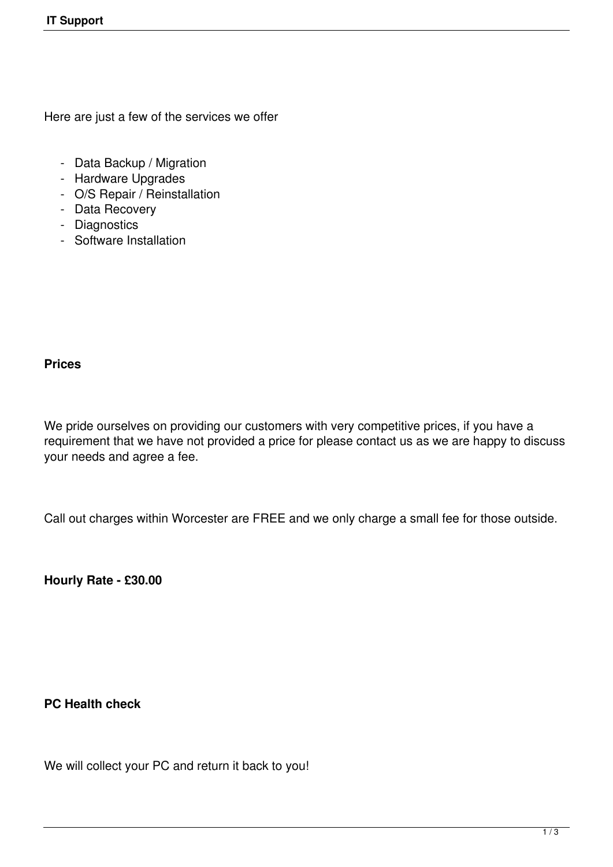Here are just a few of the services we offer

- Data Backup / Migration
- Hardware Upgrades
- O/S Repair / Reinstallation
- Data Recovery
- Diagnostics
- Software Installation

## **Prices**

We pride ourselves on providing our customers with very competitive prices, if you have a requirement that we have not provided a price for please contact us as we are happy to discuss your needs and agree a fee.

Call out charges within Worcester are FREE and we only charge a small fee for those outside.

**Hourly Rate - £30.00**

**PC Health check**

We will collect your PC and return it back to you!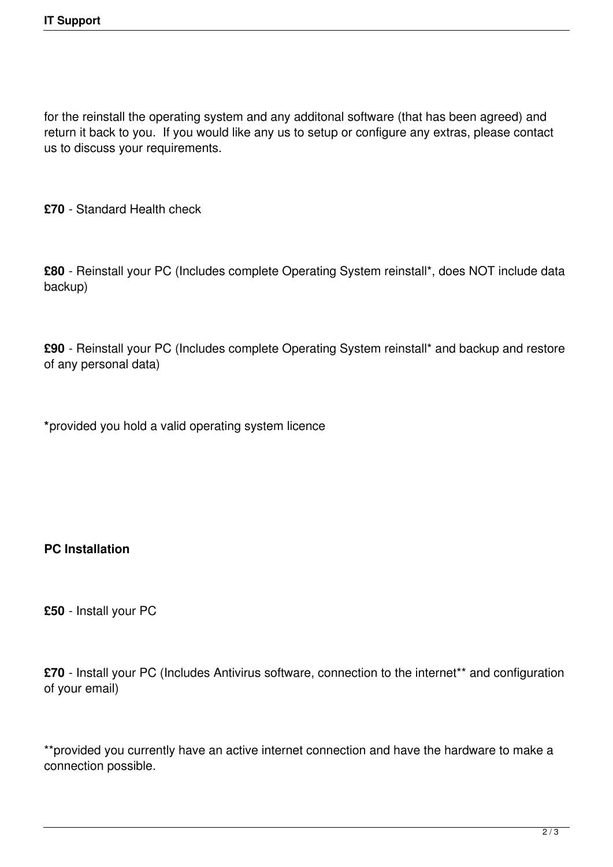for the reinstall the operating system and any additonal software (that has been agreed) and return it back to you. If you would like any us to setup or configure any extras, please contact us to discuss your requirements.

**£70** - Standard Health check

**£80** - Reinstall your PC (Includes complete Operating System reinstall\*, does NOT include data backup)

**£90** - Reinstall your PC (Includes complete Operating System reinstall\* and backup and restore of any personal data)

**\***provided you hold a valid operating system licence

## **PC Installation**

**£50** - Install your PC

**£70** - Install your PC (Includes Antivirus software, connection to the internet\*\* and configuration of your email)

\*\*provided you currently have an active internet connection and have the hardware to make a connection possible.